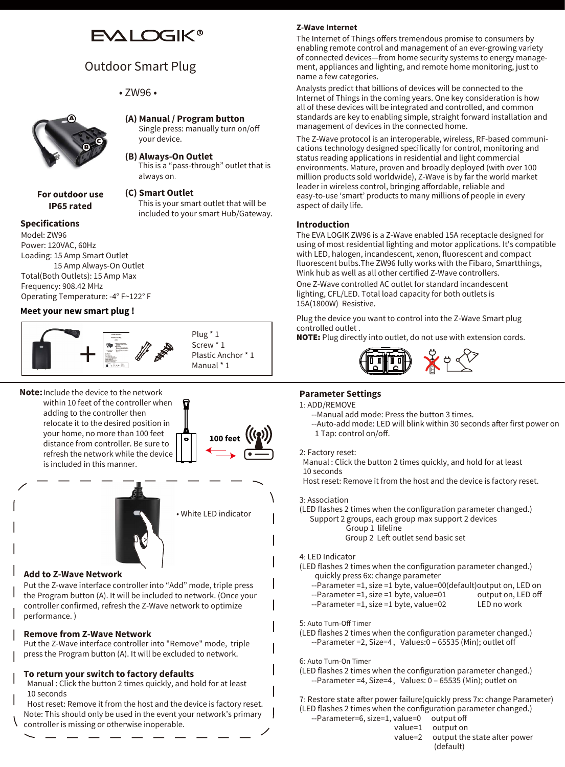# **EVALOGIK®**

# Outdoor Smart Plug

• ZW96 •



**For outdoor use IP65 rated**

## **(A) Manual / Program button**

Single press: manually turn on/off your device.

#### **(B) Always-On Outlet**

This is a "pass-through" outlet that is always on.

### **(C) Smart Outlet**

This is your smart outlet that will be included to your smart Hub/Gateway.

## **Specifications** Model: ZW96

Power: 120VAC, 60Hz Loading: 15 Amp Smart Outlet 15 Amp Always-On Outlet Total(Both Outlets): 15 Amp Max Frequency: 908.42 MHz Operating Temperature: -4° F~122° F

#### **Meet your new smart plug !**



**Note:** Include the device to the network within 10 feet of the controller when adding to the controller then relocate it to the desired position in your home, no more than 100 feet distance from controller. Be sure to refresh the network while the device is included in this manner.





#### **Add to Z-Wave Network**

Put the Z-wave interface controller into "Add" mode, triple press the Program button (A). It will be included to network. (Once your controller confirmed, refresh the Z-Wave network to optimize performance. )

#### **Remove from Z-Wave Network**

Put the Z-Wave interface controller into "Remove" mode, triple press the Program button (A). It will be excluded to network.

#### **To return your switch to factory defaults**

 Manual : Click the button 2 times quickly, and hold for at least 10 seconds

 Host reset: Remove it from the host and the device is factory reset. Note: This should only be used in the event your network's primary controller is missing or otherwise inoperable.

## **Z-Wave Internet**

The Internet of Things offers tremendous promise to consumers by enabling remote control and management of an ever-growing variety of connected devices—from home security systems to energy management, appliances and lighting, and remote home monitoring, just to name a few categories.

Analysts predict that billions of devices will be connected to the Internet of Things in the coming years. One key consideration is how all of these devices will be integrated and controlled, and common standards are key to enabling simple, straight forward installation and management of devices in the connected home.

The Z-Wave protocol is an interoperable, wireless, RF-based communications technology designed specifically for control, monitoring and status reading applications in residential and light commercial environments. Mature, proven and broadly deployed (with over 100 million products sold worldwide), Z-Wave is by far the world market leader in wireless control, bringing affordable, reliable and easy-to-use 'smart' products to many millions of people in every aspect of daily life.

#### **Introduction**

The EVA LOGIK ZW96 is a Z-Wave enabled 15A receptacle designed for using of most residential lighting and motor applications. It's compatible with LED, halogen, incandescent, xenon, fluorescent and compact fluorescent bulbs.The ZW96 fully works with the Fibaro, Smartthings, Wink hub as well as all other certified Z-Wave controllers.

One Z-Wave controlled AC outlet for standard incandescent lighting, CFL/LED. Total load capacity for both outlets is 15A(1800W) Resistive.

Plug the device you want to control into the Z-Wave Smart plug controlled outlet .

NOTE: Plug directly into outlet, do not use with extension cords.



### **Parameter Settings**

- 1: ADD/REMOVE
	- --Manual add mode: Press the button 3 times.
	- --Auto-add mode: LED will blink within 30 seconds after first power on 1 Tap: control on/off.

#### 2: Factory reset:

 Manual : Click the button 2 times quickly, and hold for at least 10 seconds

Host reset: Remove it from the host and the device is factory reset.

#### 3: Association

(LED flashes 2 times when the configuration parameter changed.)

- Support 2 groups, each group max support 2 devices Group 1 lifeline
	- Group 2 Left outlet send basic set

#### 4: LED Indicator

(LED flashes 2 times when the configuration parameter changed.) quickly press 6x: change parameter

- --Parameter =1, size =1 byte, value=00(default)output on, LED on
- --Parameter =1, size =1 byte, value=01 output on, LE<br>--Parameter =1, size =1 byte, value=02 LED no work
- $-$ -Parameter =1, size =1 byte, value=02

#### 5: Auto Turn-Off Timer

(LED flashes 2 times when the configuration parameter changed.) --Parameter = 2, Size = 4, Values: 0 - 65535 (Min); outlet off

6: Auto Turn-On Timer

(LED flashes 2 times when the configuration parameter changed.)  $-$ -Parameter =4, Size=4, Values: 0 – 65535 (Min); outlet on

7: Restore state after power failure(quickly press 7x: change Parameter) (LED flashes 2 times when the configuration parameter changed.) --Parameter=6, s

| TEED Rushes 2 thries when the configuration parameter changea. |                                      |
|----------------------------------------------------------------|--------------------------------------|
| --Parameter=6, size=1, value=0 output off                      |                                      |
|                                                                | value=1 output on                    |
|                                                                | value=2 output the state after power |
|                                                                | (default)                            |